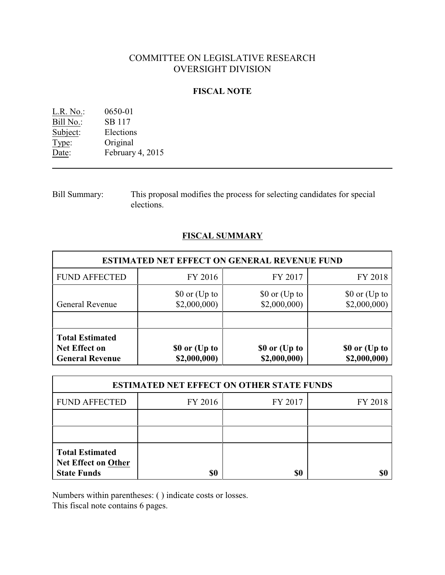# COMMITTEE ON LEGISLATIVE RESEARCH OVERSIGHT DIVISION

### **FISCAL NOTE**

| L.R. No.: | 0650-01          |
|-----------|------------------|
| Bill No.: | SB 117           |
| Subject:  | Elections        |
| Type:     | Original         |
| Date:     | February 4, 2015 |

Bill Summary: This proposal modifies the process for selecting candidates for special elections.

# **FISCAL SUMMARY**

| <b>ESTIMATED NET EFFECT ON GENERAL REVENUE FUND</b>                      |                                                |                               |                               |  |  |
|--------------------------------------------------------------------------|------------------------------------------------|-------------------------------|-------------------------------|--|--|
| <b>FUND AFFECTED</b>                                                     | FY 2016                                        | FY 2017                       | FY 2018                       |  |  |
| <b>General Revenue</b>                                                   | $$0 \text{ or } (\text{Up to})$<br>\$2,000,000 | \$0 or (Up to<br>\$2,000,000  | \$0 or (Up to<br>\$2,000,000  |  |  |
| <b>Total Estimated</b><br><b>Net Effect on</b><br><b>General Revenue</b> | \$0 or (Up to<br>\$2,000,000)                  | \$0 or (Up to<br>\$2,000,000) | \$0 or (Up to<br>\$2,000,000) |  |  |

| <b>ESTIMATED NET EFFECT ON OTHER STATE FUNDS</b>                           |         |         |         |  |
|----------------------------------------------------------------------------|---------|---------|---------|--|
| <b>FUND AFFECTED</b>                                                       | FY 2016 | FY 2017 | FY 2018 |  |
|                                                                            |         |         |         |  |
|                                                                            |         |         |         |  |
| <b>Total Estimated</b><br><b>Net Effect on Other</b><br><b>State Funds</b> | \$0     | \$0     |         |  |

Numbers within parentheses: ( ) indicate costs or losses.

This fiscal note contains 6 pages.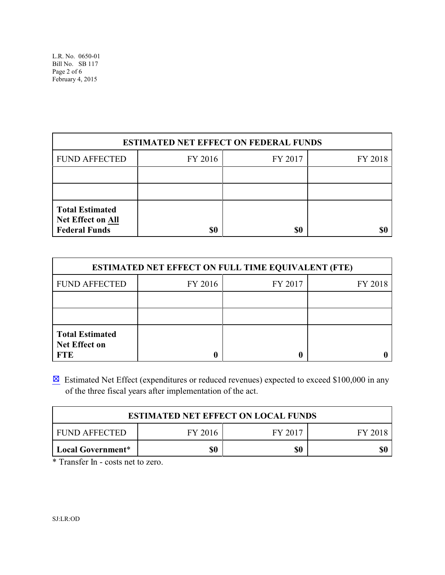| <b>ESTIMATED NET EFFECT ON FEDERAL FUNDS</b>                               |         |         |         |  |
|----------------------------------------------------------------------------|---------|---------|---------|--|
| <b>FUND AFFECTED</b>                                                       | FY 2016 | FY 2017 | FY 2018 |  |
|                                                                            |         |         |         |  |
|                                                                            |         |         |         |  |
| <b>Total Estimated</b><br><b>Net Effect on All</b><br><b>Federal Funds</b> | \$0     | \$0     |         |  |

| <b>ESTIMATED NET EFFECT ON FULL TIME EQUIVALENT (FTE)</b>    |         |         |         |  |
|--------------------------------------------------------------|---------|---------|---------|--|
| <b>FUND AFFECTED</b>                                         | FY 2016 | FY 2017 | FY 2018 |  |
|                                                              |         |         |         |  |
|                                                              |         |         |         |  |
| <b>Total Estimated</b><br><b>Net Effect on</b><br><b>FTE</b> |         |         |         |  |

 $\boxtimes$  Estimated Net Effect (expenditures or reduced revenues) expected to exceed \$100,000 in any of the three fiscal years after implementation of the act.

| <b>ESTIMATED NET EFFECT ON LOCAL FUNDS</b>            |  |  |  |  |  |
|-------------------------------------------------------|--|--|--|--|--|
| <b>FUND AFFECTED</b><br>FY 2016<br>FY 2017<br>FY 2018 |  |  |  |  |  |
| \$0<br>\$0<br>Local Government*                       |  |  |  |  |  |

\* Transfer In - costs net to zero.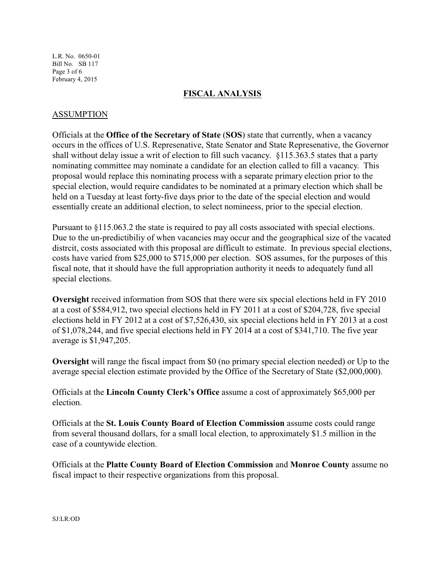L.R. No. 0650-01 Bill No. SB 117 Page 3 of 6 February 4, 2015

## **FISCAL ANALYSIS**

### ASSUMPTION

Officials at the **Office of the Secretary of State** (**SOS**) state that currently, when a vacancy occurs in the offices of U.S. Represenative, State Senator and State Represenative, the Governor shall without delay issue a writ of election to fill such vacancy. §115.363.5 states that a party nominating committee may nominate a candidate for an election called to fill a vacancy. This proposal would replace this nominating process with a separate primary election prior to the special election, would require candidates to be nominated at a primary election which shall be held on a Tuesday at least forty-five days prior to the date of the special election and would essentially create an additional election, to select nomineess, prior to the special election.

Pursuant to §115.063.2 the state is required to pay all costs associated with special elections. Due to the un-predictibiliy of when vacancies may occur and the geographical size of the vacated distrcit, costs associated with this proposal are difficult to estimate. In previous special elections, costs have varied from \$25,000 to \$715,000 per election. SOS assumes, for the purposes of this fiscal note, that it should have the full appropriation authority it needs to adequately fund all special elections.

**Oversight** received information from SOS that there were six special elections held in FY 2010 at a cost of \$584,912, two special elections held in FY 2011 at a cost of \$204,728, five special elections held in FY 2012 at a cost of \$7,526,430, six special elections held in FY 2013 at a cost of \$1,078,244, and five special elections held in FY 2014 at a cost of \$341,710. The five year average is \$1,947,205.

**Oversight** will range the fiscal impact from \$0 (no primary special election needed) or Up to the average special election estimate provided by the Office of the Secretary of State (\$2,000,000).

Officials at the **Lincoln County Clerk's Office** assume a cost of approximately \$65,000 per election.

Officials at the **St. Louis County Board of Election Commission** assume costs could range from several thousand dollars, for a small local election, to approximately \$1.5 million in the case of a countywide election.

Officials at the **Platte County Board of Election Commission** and **Monroe County** assume no fiscal impact to their respective organizations from this proposal.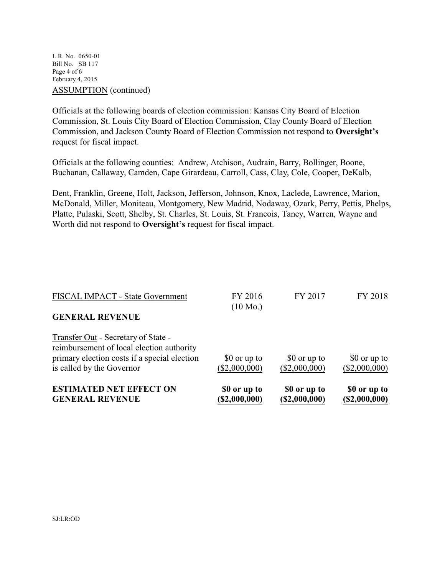L.R. No. 0650-01 Bill No. SB 117 Page 4 of 6 February 4, 2015 ASSUMPTION (continued)

Officials at the following boards of election commission: Kansas City Board of Election Commission, St. Louis City Board of Election Commission, Clay County Board of Election Commission, and Jackson County Board of Election Commission not respond to **Oversight's** request for fiscal impact.

Officials at the following counties: Andrew, Atchison, Audrain, Barry, Bollinger, Boone, Buchanan, Callaway, Camden, Cape Girardeau, Carroll, Cass, Clay, Cole, Cooper, DeKalb,

Dent, Franklin, Greene, Holt, Jackson, Jefferson, Johnson, Knox, Laclede, Lawrence, Marion, McDonald, Miller, Moniteau, Montgomery, New Madrid, Nodaway, Ozark, Perry, Pettis, Phelps, Platte, Pulaski, Scott, Shelby, St. Charles, St. Louis, St. Francois, Taney, Warren, Wayne and Worth did not respond to **Oversight's** request for fiscal impact.

| <b>ESTIMATED NET EFFECT ON</b><br><b>GENERAL REVENUE</b>                                                                                                      | \$0 or up to<br>(S2,000,000)  | \$0 or up to<br>(S2,000,000)  | \$0 or up to<br>(S2,000,000)  |
|---------------------------------------------------------------------------------------------------------------------------------------------------------------|-------------------------------|-------------------------------|-------------------------------|
| Transfer Out - Secretary of State -<br>reimbursement of local election authority<br>primary election costs if a special election<br>is called by the Governor | \$0 or up to<br>(\$2,000,000) | \$0 or up to<br>(\$2,000,000) | \$0 or up to<br>(\$2,000,000) |
| <b>GENERAL REVENUE</b>                                                                                                                                        | $(10 \text{ Mo.})$            |                               |                               |
| FISCAL IMPACT - State Government                                                                                                                              | FY 2016                       | FY 2017                       | FY 2018                       |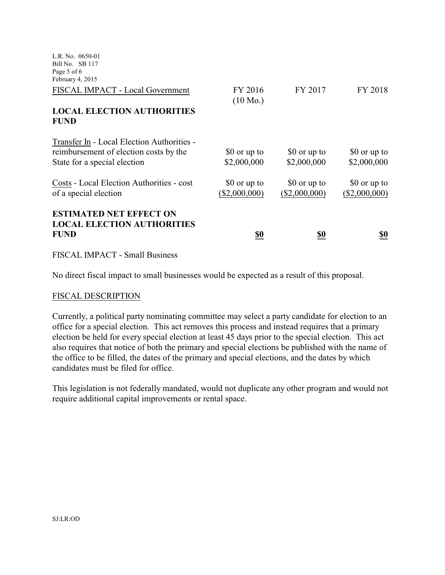| L.R. No. 0650-01<br>Bill No. SB 117<br>Page 5 of 6<br>February 4, 2015                                               |                               |                               |                               |
|----------------------------------------------------------------------------------------------------------------------|-------------------------------|-------------------------------|-------------------------------|
| FISCAL IMPACT - Local Government                                                                                     | FY 2016<br>$(10 \text{ Mo.})$ | FY 2017                       | FY 2018                       |
| <b>LOCAL ELECTION AUTHORITIES</b><br><b>FUND</b>                                                                     |                               |                               |                               |
| Transfer In - Local Election Authorities -<br>reimbursement of election costs by the<br>State for a special election | \$0 or up to<br>\$2,000,000   | \$0 or up to<br>\$2,000,000   | \$0 or up to<br>\$2,000,000   |
| Costs - Local Election Authorities - cost<br>of a special election                                                   | \$0 or up to<br>(\$2,000,000) | \$0 or up to<br>(\$2,000,000) | \$0 or up to<br>(\$2,000,000) |
| <b>ESTIMATED NET EFFECT ON</b><br><b>LOCAL ELECTION AUTHORITIES</b><br><b>FUND</b>                                   | <u>\$0</u>                    | <u>\$0</u>                    | <u>\$0</u>                    |

FISCAL IMPACT - Small Business

No direct fiscal impact to small businesses would be expected as a result of this proposal.

#### FISCAL DESCRIPTION

Currently, a political party nominating committee may select a party candidate for election to an office for a special election. This act removes this process and instead requires that a primary election be held for every special election at least 45 days prior to the special election. This act also requires that notice of both the primary and special elections be published with the name of the office to be filled, the dates of the primary and special elections, and the dates by which candidates must be filed for office.

This legislation is not federally mandated, would not duplicate any other program and would not require additional capital improvements or rental space.